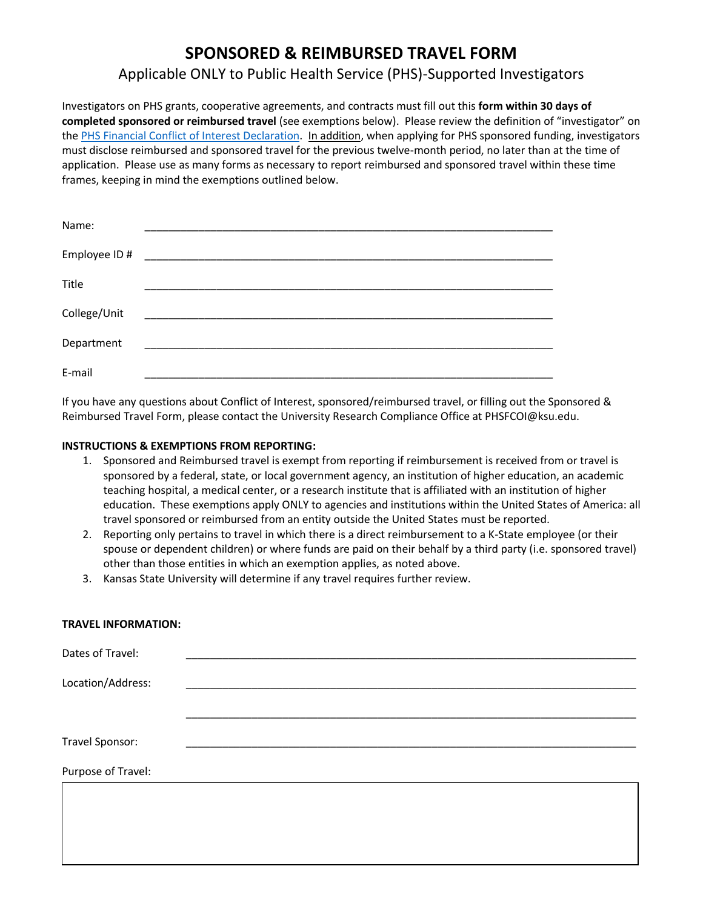# **SPONSORED & REIMBURSED TRAVEL FORM**

# Applicable ONLY to Public Health Service (PHS)-Supported Investigators

Investigators on PHS grants, cooperative agreements, and contracts must fill out this **form within 30 days of completed sponsored or reimbursed travel** (see exemptions below). Please review the definition of "investigator" on th[e PHS Financial Conflict of Interest Declaration.](https://www.k-state.edu/conflict/forms/phs.html) In addition, when applying for PHS sponsored funding, investigators must disclose reimbursed and sponsored travel for the previous twelve-month period, no later than at the time of application. Please use as many forms as necessary to report reimbursed and sponsored travel within these time frames, keeping in mind the exemptions outlined below.

| Name:         |  |  |
|---------------|--|--|
| Employee ID # |  |  |
| Title         |  |  |
| College/Unit  |  |  |
| Department    |  |  |
| E-mail        |  |  |

If you have any questions about Conflict of Interest, sponsored/reimbursed travel, or filling out the Sponsored & Reimbursed Travel Form, please contact the University Research Compliance Office at PHSFCOI@ksu.edu.

## **INSTRUCTIONS & EXEMPTIONS FROM REPORTING:**

- 1. Sponsored and Reimbursed travel is exempt from reporting if reimbursement is received from or travel is sponsored by a federal, state, or local government agency, an institution of higher education, an academic teaching hospital, a medical center, or a research institute that is affiliated with an institution of higher education. These exemptions apply ONLY to agencies and institutions within the United States of America: all travel sponsored or reimbursed from an entity outside the United States must be reported.
- 2. Reporting only pertains to travel in which there is a direct reimbursement to a K-State employee (or their spouse or dependent children) or where funds are paid on their behalf by a third party (i.e. sponsored travel) other than those entities in which an exemption applies, as noted above.
- 3. Kansas State University will determine if any travel requires further review.

### **TRAVEL INFORMATION:**

| Dates of Travel:   |  |  |
|--------------------|--|--|
| Location/Address:  |  |  |
|                    |  |  |
| Travel Sponsor:    |  |  |
| Purpose of Travel: |  |  |
|                    |  |  |